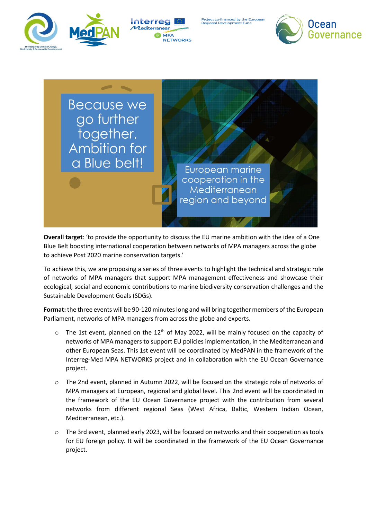



roject co-financed by the <mark>Eur</mark>opear<br>egional Development Fund





**Overall target**: 'to provide the opportunity to discuss the EU marine ambition with the idea of a One Blue Belt boosting international cooperation between networks of MPA managers across the globe to achieve Post 2020 marine conservation targets.'

To achieve this, we are proposing a series of three events to highlight the technical and strategic role of networks of MPA managers that support MPA management effectiveness and showcase their ecological, social and economic contributions to marine biodiversity conservation challenges and the Sustainable Development Goals (SDGs).

**Format:** the three events will be 90-120 minutes long and will bring together members of the European Parliament, networks of MPA managers from across the globe and experts.

- $\circ$  The 1st event, planned on the 12<sup>th</sup> of May 2022, will be mainly focused on the capacity of networks of MPA managers to support EU policies implementation, in the Mediterranean and other European Seas. This 1st event will be coordinated by MedPAN in the framework of the Interreg-Med MPA NETWORKS project and in collaboration with the EU Ocean Governance project.
- o The 2nd event, planned in Autumn 2022, will be focused on the strategic role of networks of MPA managers at European, regional and global level. This 2nd event will be coordinated in the framework of the EU Ocean Governance project with the contribution from several networks from different regional Seas (West Africa, Baltic, Western Indian Ocean, Mediterranean, etc.).
- o The 3rd event, planned early 2023, will be focused on networks and their cooperation as tools for EU foreign policy. It will be coordinated in the framework of the EU Ocean Governance project.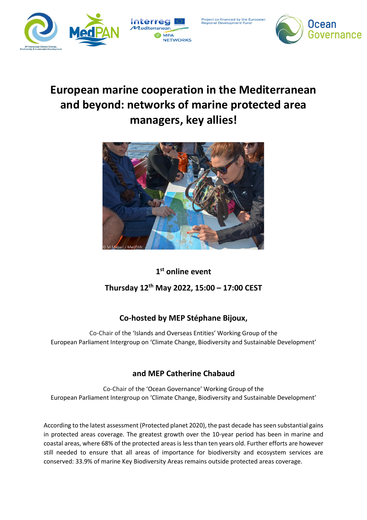



ect co-financed by the <mark>European</mark><br>ional Development Fund



# **European marine cooperation in the Mediterranean and beyond: networks of marine protected area managers, key allies!**



#### **1 st online event**

#### **Thursday 12th May 2022, 15:00 – 17:00 CEST**

#### **Co-hosted by MEP Stéphane Bijoux,**

Co-Chair of the 'Islands and Overseas Entities' Working Group of the European Parliament Intergroup on 'Climate Change, Biodiversity and Sustainable Development'

#### **and MEP Catherine Chabaud**

Co-Chair of the 'Ocean Governance' Working Group of the European Parliament Intergroup on 'Climate Change, Biodiversity and Sustainable Development'

According to the latest assessment (Protected planet 2020), the past decade has seen substantial gains in protected areas coverage. The greatest growth over the 10-year period has been in marine and coastal areas, where 68% of the protected areas is less than ten years old. Further efforts are however still needed to ensure that all areas of importance for biodiversity and ecosystem services are conserved: 33.9% of marine Key Biodiversity Areas remains outside protected areas coverage.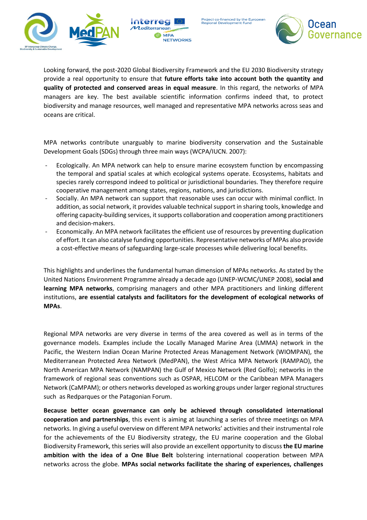



roject co-financed by the European Regional Development Fund



Looking forward, the post-2020 Global Biodiversity Framework and the EU 2030 Biodiversity strategy provide a real opportunity to ensure that **future efforts take into account both the quantity and quality of protected and conserved areas in equal measure**. In this regard, the networks of MPA managers are key. The best available scientific information confirms indeed that, to protect biodiversity and manage resources, well managed and representative MPA networks across seas and oceans are critical.

MPA networks contribute unarguably to marine biodiversity conservation and the Sustainable Development Goals (SDGs) through three main ways (WCPA/IUCN. 2007):

- Ecologically. An MPA network can help to ensure marine ecosystem function by encompassing the temporal and spatial scales at which ecological systems operate. Ecosystems, habitats and species rarely correspond indeed to political or jurisdictional boundaries. They therefore require cooperative management among states, regions, nations, and jurisdictions.
- Socially. An MPA network can support that reasonable uses can occur with minimal conflict. In addition, as social network, it provides valuable technical support in sharing tools, knowledge and offering capacity-building services, it supports collaboration and cooperation among practitioners and decision-makers.
- Economically. An MPA network facilitates the efficient use of resources by preventing duplication of effort. It can also catalyse funding opportunities. Representative networks of MPAs also provide a cost-effective means of safeguarding large-scale processes while delivering local benefits.

This highlights and underlines the fundamental human dimension of MPAs networks. As stated by the United Nations Environment Programme already a decade ago (UNEP-WCMC/UNEP 2008), **social and learning MPA networks**, comprising managers and other MPA practitioners and linking different institutions, **are essential catalysts and facilitators for the development of ecological networks of MPAs**.

Regional MPA networks are very diverse in terms of the area covered as well as in terms of the governance models. Examples include the Locally Managed Marine Area (LMMA) network in the Pacific, the Western Indian Ocean Marine Protected Areas Management Network (WIOMPAN), the Mediterranean Protected Area Network (MedPAN), the West Africa MPA Network (RAMPAO), the North American MPA Network (NAMPAN) the Gulf of Mexico Network (Red Golfo); networks in the framework of regional seas conventions such as OSPAR, HELCOM or the Caribbean MPA Managers Network (CaMPAM); or others networks developed as working groups under larger regional structures such as Redparques or the Patagonian Forum.

**Because better ocean governance can only be achieved through consolidated international cooperation and partnerships**, this event is aiming at launching a series of three meetings on MPA networks. In giving a useful overview on different MPA networks' activities and their instrumental role for the achievements of the EU Biodiversity strategy, the EU marine cooperation and the Global Biodiversity Framework, this series will also provide an excellent opportunity to discuss **the EU marine ambition with the idea of a One Blue Belt** bolstering international cooperation between MPA networks across the globe. **MPAs social networks facilitate the sharing of experiences, challenges**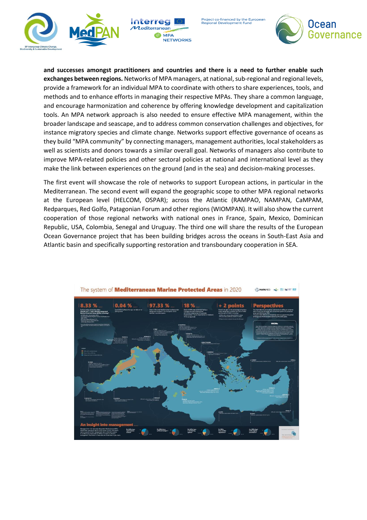



roject co-financed by the <mark>Eur</mark>opean<br>egional Development Fund



**and successes amongst practitioners and countries and there is a need to further enable such exchanges between regions.** Networks of MPA managers, at national, sub-regional and regional levels, provide a framework for an individual MPA to coordinate with others to share experiences, tools, and methods and to enhance efforts in managing their respective MPAs. They share a common language, and encourage harmonization and coherence by offering knowledge development and capitalization tools. An MPA network approach is also needed to ensure effective MPA management, within the broader landscape and seascape, and to address common conservation challenges and objectives, for instance migratory species and climate change. Networks support effective governance of oceans as they build "MPA community" by connecting managers, management authorities, local stakeholders as well as scientists and donors towards a similar overall goal. Networks of managers also contribute to improve MPA-related policies and other sectoral policies at national and international level as they make the link between experiences on the ground (and in the sea) and decision-making processes.

The first event will showcase the role of networks to support European actions, in particular in the Mediterranean. The second event will expand the geographic scope to other MPA regional networks at the European level (HELCOM, OSPAR); across the Atlantic (RAMPAO, NAMPAN, CaMPAM, Redparques, Red Golfo, Patagonian Forum and other regions (WIOMPAN). It will also show the current cooperation of those regional networks with national ones in France, Spain, Mexico, Dominican Republic, USA, Colombia, Senegal and Uruguay. The third one will share the results of the European Ocean Governance project that has been building bridges across the oceans in South-East Asia and Atlantic basin and specifically supporting restoration and transboundary cooperation in SEA.

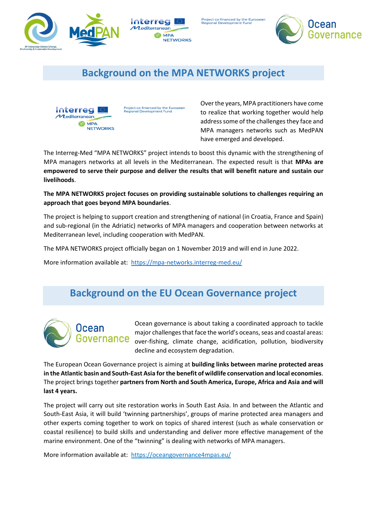



Project co-financed by the <mark>Eur</mark>opean<br>Regional Development Fund



## **Background on the MPA NETWORKS project**



Project co-financed by the European<br>Regional Development Fund

Over the years, MPA practitioners have come to realize that working together would help address some of the challenges they face and MPA managers networks such as MedPAN have emerged and developed.

The Interreg-Med "MPA NETWORKS" project intends to boost this dynamic with the strengthening of MPA managers networks at all levels in the Mediterranean. The expected result is that **MPAs are empowered to serve their purpose and deliver the results that will benefit nature and sustain our livelihoods**.

**The MPA NETWORKS project focuses on providing sustainable solutions to challenges requiring an approach that goes beyond MPA boundaries**.

The project is helping to support creation and strengthening of national (in Croatia, France and Spain) and sub-regional (in the Adriatic) networks of MPA managers and cooperation between networks at Mediterranean level, including cooperation with MedPAN.

The MPA NETWORKS project officially began on 1 November 2019 and will end in June 2022.

More information available at:<https://mpa-networks.interreg-med.eu/>

### **Background on the EU Ocean Governance project**



Ocean governance is about taking a coordinated approach to tackle major challenges that face the world's oceans, seas and coastal areas: over-fishing, climate change, acidification, pollution, biodiversity decline and ecosystem degradation.

The European Ocean Governance project is aiming at **building links between marine protected areas in the Atlantic basin and South-East Asia for the benefit of wildlife conservation and local economies**. The project brings together **partners from North and South America, Europe, Africa and Asia and will last 4 years.**

The project will carry out site restoration works in South East Asia. In and between the Atlantic and South-East Asia, it will build 'twinning partnerships', groups of marine protected area managers and other experts coming together to work on topics of shared interest (such as whale conservation or coastal resilience) to build skills and understanding and deliver more effective management of the marine environment. One of the "twinning" is dealing with networks of MPA managers.

More information available at:<https://oceangovernance4mpas.eu/>